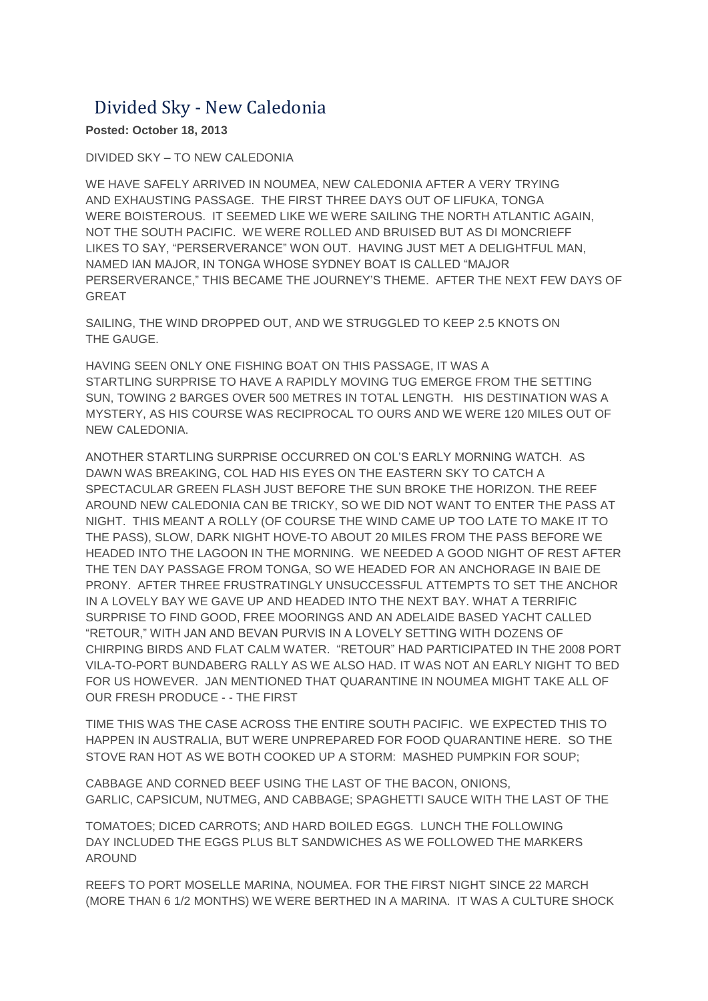## Divided Sky - New Caledonia

**Posted: October 18, 2013**

DIVIDED SKY – TO NEW CALEDONIA

WE HAVE SAFELY ARRIVED IN NOUMEA, NEW CALEDONIA AFTER A VERY TRYING AND EXHAUSTING PASSAGE. THE FIRST THREE DAYS OUT OF LIFUKA, TONGA WERE BOISTEROUS. IT SEEMED LIKE WE WERE SAILING THE NORTH ATLANTIC AGAIN, NOT THE SOUTH PACIFIC. WE WERE ROLLED AND BRUISED BUT AS DI MONCRIEFF LIKES TO SAY, "PERSERVERANCE" WON OUT. HAVING JUST MET A DELIGHTFUL MAN, NAMED IAN MAJOR, IN TONGA WHOSE SYDNEY BOAT IS CALLED "MAJOR PERSERVERANCE," THIS BECAME THE JOURNEY'S THEME. AFTER THE NEXT FEW DAYS OF GREAT

SAILING, THE WIND DROPPED OUT, AND WE STRUGGLED TO KEEP 2.5 KNOTS ON THE GAUGE.

HAVING SEEN ONLY ONE FISHING BOAT ON THIS PASSAGE, IT WAS A STARTLING SURPRISE TO HAVE A RAPIDLY MOVING TUG EMERGE FROM THE SETTING SUN, TOWING 2 BARGES OVER 500 METRES IN TOTAL LENGTH. HIS DESTINATION WAS A MYSTERY, AS HIS COURSE WAS RECIPROCAL TO OURS AND WE WERE 120 MILES OUT OF NEW CALEDONIA.

ANOTHER STARTLING SURPRISE OCCURRED ON COL'S EARLY MORNING WATCH. AS DAWN WAS BREAKING, COL HAD HIS EYES ON THE EASTERN SKY TO CATCH A SPECTACULAR GREEN FLASH JUST BEFORE THE SUN BROKE THE HORIZON. THE REEF AROUND NEW CALEDONIA CAN BE TRICKY, SO WE DID NOT WANT TO ENTER THE PASS AT NIGHT. THIS MEANT A ROLLY (OF COURSE THE WIND CAME UP TOO LATE TO MAKE IT TO THE PASS), SLOW, DARK NIGHT HOVE-TO ABOUT 20 MILES FROM THE PASS BEFORE WE HEADED INTO THE LAGOON IN THE MORNING. WE NEEDED A GOOD NIGHT OF REST AFTER THE TEN DAY PASSAGE FROM TONGA, SO WE HEADED FOR AN ANCHORAGE IN BAIE DE PRONY. AFTER THREE FRUSTRATINGLY UNSUCCESSFUL ATTEMPTS TO SET THE ANCHOR IN A LOVELY BAY WE GAVE UP AND HEADED INTO THE NEXT BAY. WHAT A TERRIFIC SURPRISE TO FIND GOOD, FREE MOORINGS AND AN ADELAIDE BASED YACHT CALLED "RETOUR," WITH JAN AND BEVAN PURVIS IN A LOVELY SETTING WITH DOZENS OF CHIRPING BIRDS AND FLAT CALM WATER. "RETOUR" HAD PARTICIPATED IN THE 2008 PORT VILA-TO-PORT BUNDABERG RALLY AS WE ALSO HAD. IT WAS NOT AN EARLY NIGHT TO BED FOR US HOWEVER. JAN MENTIONED THAT QUARANTINE IN NOUMEA MIGHT TAKE ALL OF OUR FRESH PRODUCE - - THE FIRST

TIME THIS WAS THE CASE ACROSS THE ENTIRE SOUTH PACIFIC. WE EXPECTED THIS TO HAPPEN IN AUSTRALIA, BUT WERE UNPREPARED FOR FOOD QUARANTINE HERE. SO THE STOVE RAN HOT AS WE BOTH COOKED UP A STORM: MASHED PUMPKIN FOR SOUP;

CABBAGE AND CORNED BEEF USING THE LAST OF THE BACON, ONIONS, GARLIC, CAPSICUM, NUTMEG, AND CABBAGE; SPAGHETTI SAUCE WITH THE LAST OF THE

TOMATOES; DICED CARROTS; AND HARD BOILED EGGS. LUNCH THE FOLLOWING DAY INCLUDED THE EGGS PLUS BLT SANDWICHES AS WE FOLLOWED THE MARKERS AROUND

REEFS TO PORT MOSELLE MARINA, NOUMEA. FOR THE FIRST NIGHT SINCE 22 MARCH (MORE THAN 6 1/2 MONTHS) WE WERE BERTHED IN A MARINA. IT WAS A CULTURE SHOCK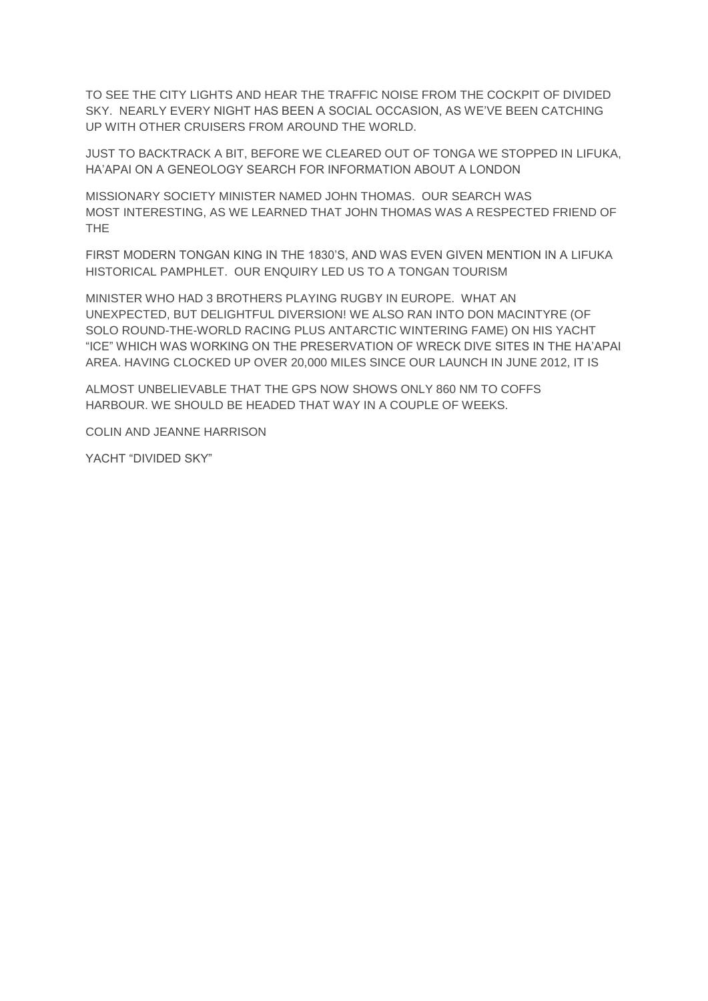TO SEE THE CITY LIGHTS AND HEAR THE TRAFFIC NOISE FROM THE COCKPIT OF DIVIDED SKY. NEARLY EVERY NIGHT HAS BEEN A SOCIAL OCCASION, AS WE'VE BEEN CATCHING UP WITH OTHER CRUISERS FROM AROUND THE WORLD.

JUST TO BACKTRACK A BIT, BEFORE WE CLEARED OUT OF TONGA WE STOPPED IN LIFUKA, HA'APAI ON A GENEOLOGY SEARCH FOR INFORMATION ABOUT A LONDON

MISSIONARY SOCIETY MINISTER NAMED JOHN THOMAS. OUR SEARCH WAS MOST INTERESTING, AS WE LEARNED THAT JOHN THOMAS WAS A RESPECTED FRIEND OF THE

FIRST MODERN TONGAN KING IN THE 1830'S, AND WAS EVEN GIVEN MENTION IN A LIFUKA HISTORICAL PAMPHLET. OUR ENQUIRY LED US TO A TONGAN TOURISM

MINISTER WHO HAD 3 BROTHERS PLAYING RUGBY IN EUROPE. WHAT AN UNEXPECTED, BUT DELIGHTFUL DIVERSION! WE ALSO RAN INTO DON MACINTYRE (OF SOLO ROUND-THE-WORLD RACING PLUS ANTARCTIC WINTERING FAME) ON HIS YACHT "ICE" WHICH WAS WORKING ON THE PRESERVATION OF WRECK DIVE SITES IN THE HA'APAI AREA. HAVING CLOCKED UP OVER 20,000 MILES SINCE OUR LAUNCH IN JUNE 2012, IT IS

ALMOST UNBELIEVABLE THAT THE GPS NOW SHOWS ONLY 860 NM TO COFFS HARBOUR. WE SHOULD BE HEADED THAT WAY IN A COUPLE OF WEEKS.

COLIN AND JEANNE HARRISON

YACHT "DIVIDED SKY"